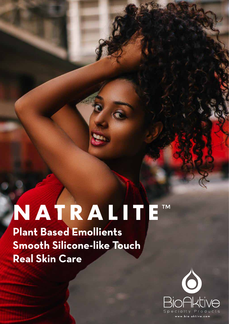# **NATRALITETM**

**Plant Based Emollients Smooth Silicone-like Touch Real Skin Care**

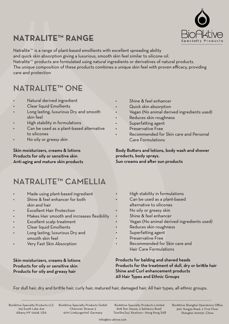

## **NATRALITE™ RANGE**

Natralite™ is a range of plant-based emollients with excellent spreading ability and quick skin absorption giving a luxurious, smooth skin feel similar to silicone oil. Natralite<sup>™</sup> products are formulated using natural ingredients or derivatives of natural products. The unique composition of these products combines a unique skin feel with proven efficacy, providing care and protection

### NATRALITE™ ONE

- Natural derived ingredient
- Clear liquid Emollients
- Long lasting, luxurious Dry and smooth skin feel
- High stability in formulations
- Can be used as a plant-based alternative to silicones
- No oily or greasy skin

#### Skin moisturizers, creams & lotions Products for oily or sensitive skin Anti-aging and mature skin products

- Shine & feel enhancer
- Quick skin absorption
- Vegan (No animal derived ingredients used)
- Reduces skin roughness
- Superfatting agent
- Preservative Free
- Recommended for Skin care and Personal Care Formulations

Body Butters and lotions, body wash and shower products, body sprays. Sun creams and after sun products

#### NATRALITE™ CAMELLIA

- Made using plant-based ingredient
- Shine & feel enhancer for both skin and hair
- **Excellent Hair Protection**
- Makes Hair smooth and increases flexibility
- Excellent scalp treatment
- Clear liquid Emollients
- Long lasting, luxurious Dry and smooth skin feel
- Very Fast Skin Absorption

#### Skin moisturizers, creams & lotions Products for oily or sensitive skin Products for oily and greasy hair

- High stability in formulations
- Can be used as a plant-based
	- alternative to silicones
	- No oily or greasy skin
	- Shine & feel enhancer
	- Vegan (No animal derived ingredients used)
	- Reduces skin roughness
	- Superfatting agent
	- Preservative Free
	- Recommended for Skin care and Hair Care Formulations

#### Products for balding and shaved heads Products for the treatment of dull, dry or brittle hair Shine and Curl enhancement products All Hair Types and Ethnic Groups

For dull hair, dry and brittle hair, curly hair, matured hair, damaged hair. All hair types, all ethnic groups.

BioAktive Specialty Products LLC 105 South Lake Ave Albany NY 12208, USA

BioAktive Specialty Products GmbH Chenover Strasse 3 67117 Limburgerhof, Germany

BioAktive Specialty Products Limited 808 Star House, 3 Salisbury Road TsimShaTsui, Kowloon • Hong Kong SAR BioAktive Shanghai Operations Office 300 Yongjia Road, 7, First Floor Shanghai 200031, China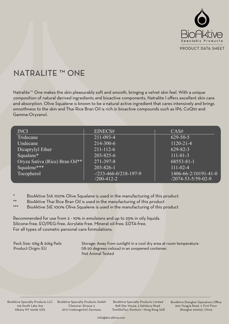

### **NATRALITE ™ ONE**

Natralite™ One makes the skin pleasurably soft and smooth, bringing a velvet skin feel. With a unique composition of natural derived ingredients and bioactive components, Natralite I offers excellent skin care and absorption. Olive Squalene is known to be a natural active ingredient that cares intensively and brings smoothness to the skin and Thai Rice Bran Oil is rich in bioactive compounds such as IP6, CoQ10 and Gamma-Oryzanol.

| <b>INCI</b>                    | EINECS#                                            | CAS#                                                 |
|--------------------------------|----------------------------------------------------|------------------------------------------------------|
| Tridecane                      | 211-093-4                                          | $629 - 50 - 5$                                       |
| Undecane                       | $214 - 300 - 6$                                    | $1120 - 21 - 4$                                      |
| Dicaprylyl Ether               | $211 - 112 - 6$                                    | $629 - 82 - 3$                                       |
| Squalane*                      | 203-825-6                                          | $111 - 01 - 3$                                       |
| Oryza Sativa (Rice) Bran Oil** | 271-397-8                                          | 68553-81-1                                           |
| Squalene***                    | $203 - 826 - 1$                                    | $111 - 02 - 4$                                       |
| Tocopherol                     | $-233 - 466 - 0/218 - 197 - 9$<br>$/200 - 412 - 2$ | $1406 - 66 - 2/10191 - 41 - 0$<br>/2074-53-5/59-02-9 |

- BioAktive S1A 100% Olive Squalane is used in the manufacturing of this product
- BioAktive Thai Rice Bran Oil is used in the manufacturing of this product
- BioAktive S1E 100% Olive Squalene is used in the manufacturing of this product

Recommended for use from 2 - 10% in emulsions and up to 25% in oily liquids. Silicone-free. EO/PEG-free. Acrylate-free. Mineral oil-free. EDTA-free. For all types of cosmetic personal care formulations.

Pack Size: 10kg & 20kg Pails Product Origin: EU

Storage: Away from sunlight in a cool dry area at room temperature (18-20 degrees celsius) in an unopened container. Not Animal Tested

BioAktive Specialty Products LLC 105 South Lake Ave Albany NY 12208, USA

BioAktive Specialty Products GmbH Chenover Strasse 3 67117 Limburgerhof, Germany

BioAktive Specialty Products Limited 808 Star House, 3 Salisbury Road TsimShaTsui, Kowloon • Hong Kong SAR BioAktive Shanghai Operations Office 300 Yongjia Road, 7, First Floor Shanghai 200031, China